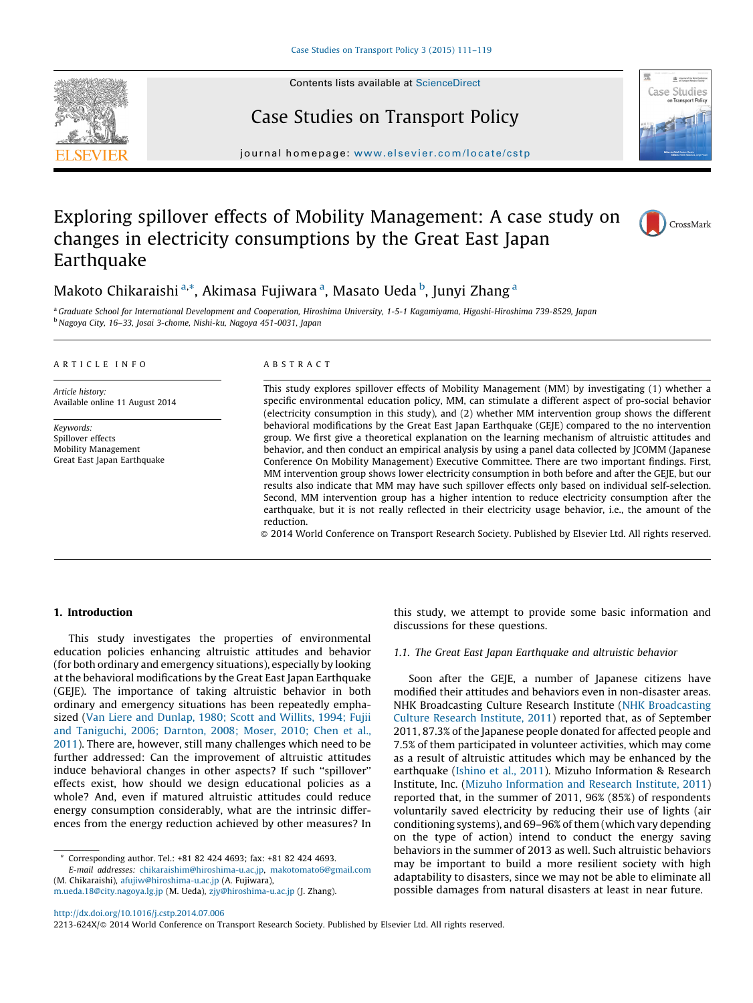

Contents lists available at [ScienceDirect](http://www.sciencedirect.com/science/journal/2213624X)

## Case Studies on Transport Policy



journal homepage: [www.elsevier.com/locate/c](www.elsevier.com/locate/cstp)stp

# Exploring spillover effects of Mobility Management: A case study on changes in electricity consumptions by the Great East Japan Earthquake



### Makoto Chikaraishi <sup>a,</sup>\*, Akimasa Fujiwara <sup>a</sup>, Masato Ueda <sup>b</sup>, Junyi Zhang <sup>a</sup>

a Graduate School for International Development and Cooperation, Hiroshima University, 1-5-1 Kagamiyama, Higashi-Hiroshima 739-8529, Japan <sup>b</sup>Nagoya City, 16–33, Josai 3-chome, Nishi-ku, Nagoya 451-0031, Japan

#### A R T I C L E I N F O

Article history: Available online 11 August 2014

Keywords: Spillover effects Mobility Management Great East Japan Earthquake

#### A B S T R A C T

This study explores spillover effects of Mobility Management (MM) by investigating (1) whether a specific environmental education policy, MM, can stimulate a different aspect of pro-social behavior (electricity consumption in this study), and (2) whether MM intervention group shows the different behavioral modifications by the Great East Japan Earthquake (GEJE) compared to the no intervention group. We first give a theoretical explanation on the learning mechanism of altruistic attitudes and behavior, and then conduct an empirical analysis by using a panel data collected by JCOMM (Japanese Conference On Mobility Management) Executive Committee. There are two important findings. First, MM intervention group shows lower electricity consumption in both before and after the GEJE, but our results also indicate that MM may have such spillover effects only based on individual self-selection. Second, MM intervention group has a higher intention to reduce electricity consumption after the earthquake, but it is not really reflected in their electricity usage behavior, i.e., the amount of the reduction.

- 2014 World Conference on Transport Research Society. Published by Elsevier Ltd. All rights reserved.

#### 1. Introduction

This study investigates the properties of environmental education policies enhancing altruistic attitudes and behavior (for both ordinary and emergency situations), especially by looking at the behavioral modifications by the Great East Japan Earthquake (GEJE). The importance of taking altruistic behavior in both ordinary and emergency situations has been repeatedly emphasized (Van Liere and [Dunlap,](#page--1-0) 1980; Scott and Willits, 1994; Fujii and [Taniguchi,](#page--1-0) 2006; Darnton, 2008; Moser, 2010; Chen et al., [2011\)](#page--1-0). There are, however, still many challenges which need to be further addressed: Can the improvement of altruistic attitudes induce behavioral changes in other aspects? If such ''spillover'' effects exist, how should we design educational policies as a whole? And, even if matured altruistic attitudes could reduce energy consumption considerably, what are the intrinsic differences from the energy reduction achieved by other measures? In

Corresponding author. Tel.: +81 82 424 4693; fax: +81 82 424 4693. E-mail addresses: [chikaraishim@hiroshima-u.ac.jp,](mailto:chikaraishim@hiroshima-u.ac.jp) [makotomato6@gmail.com](mailto:makotomato6@gmail.com) (M. Chikaraishi), [afujiw@hiroshima-u.ac.jp](mailto:afujiw@hiroshima-u.ac.jp) (A. Fujiwara), [m.ueda.18@city.nagoya.lg.jp](mailto:m.ueda.18@city.nagoya.lg.jp) (M. Ueda), [zjy@hiroshima-u.ac.jp](mailto:zjy@hiroshima-u.ac.jp) (J. Zhang).

this study, we attempt to provide some basic information and discussions for these questions.

#### 1.1. The Great East Japan Earthquake and altruistic behavior

Soon after the GEJE, a number of Japanese citizens have modified their attitudes and behaviors even in non-disaster areas. NHK Broadcasting Culture Research Institute (NHK [Broadcasting](#page--1-0) Culture Research [Institute,](#page--1-0) 2011) reported that, as of September 2011, 87.3% of the Japanese people donated for affected people and 7.5% of them participated in volunteer activities, which may come as a result of altruistic attitudes which may be enhanced by the earthquake ([Ishino](#page--1-0) et al., 2011). Mizuho Information & Research Institute, Inc. (Mizuho [Information](#page--1-0) and Research Institute, 2011) reported that, in the summer of 2011, 96% (85%) of respondents voluntarily saved electricity by reducing their use of lights (air conditioning systems), and 69-96% of them (which vary depending on the type of action) intend to conduct the energy saving behaviors in the summer of 2013 as well. Such altruistic behaviors may be important to build a more resilient society with high adaptability to disasters, since we may not be able to eliminate all possible damages from natural disasters at least in near future.

<http://dx.doi.org/10.1016/j.cstp.2014.07.006>

2213-624X/© 2014 World Conference on Transport Research Society. Published by Elsevier Ltd. All rights reserved.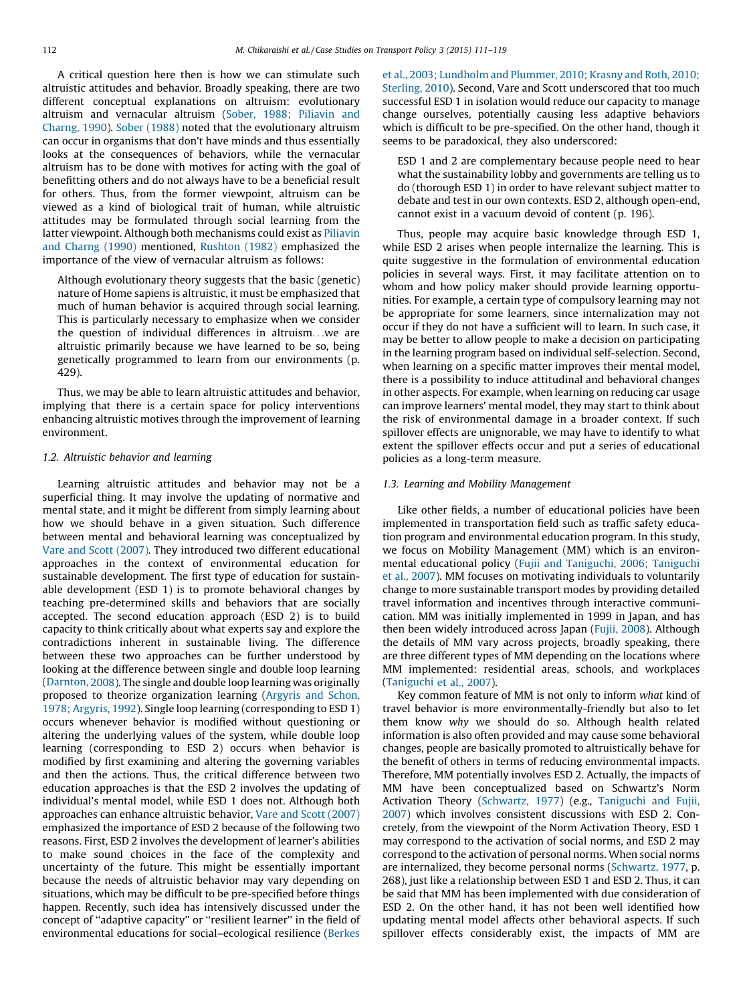A critical question here then is how we can stimulate such altruistic attitudes and behavior. Broadly speaking, there are two different conceptual explanations on altruism: evolutionary altruism and vernacular altruism (Sober, 1988; [Piliavin](#page--1-0) and [Charng,](#page--1-0) 1990). Sober [\(1988\)](#page--1-0) noted that the evolutionary altruism can occur in organisms that don't have minds and thus essentially looks at the consequences of behaviors, while the vernacular altruism has to be done with motives for acting with the goal of benefitting others and do not always have to be a beneficial result for others. Thus, from the former viewpoint, altruism can be viewed as a kind of biological trait of human, while altruistic attitudes may be formulated through social learning from the latter viewpoint. Although both mechanisms could exist as [Piliavin](#page--1-0) and [Charng](#page--1-0) (1990) mentioned, [Rushton](#page--1-0) (1982) emphasized the importance of the view of vernacular altruism as follows:

Although evolutionary theory suggests that the basic (genetic) nature of Home sapiens is altruistic, it must be emphasized that much of human behavior is acquired through social learning. This is particularly necessary to emphasize when we consider the question of individual differences in altruism. . .we are altruistic primarily because we have learned to be so, being genetically programmed to learn from our environments (p. 429).

Thus, we may be able to learn altruistic attitudes and behavior, implying that there is a certain space for policy interventions enhancing altruistic motives through the improvement of learning environment.

#### 1.2. Altruistic behavior and learning

Learning altruistic attitudes and behavior may not be a superficial thing. It may involve the updating of normative and mental state, and it might be different from simply learning about how we should behave in a given situation. Such difference between mental and behavioral learning was conceptualized by Vare and Scott [\(2007\)](#page--1-0). They introduced two different educational approaches in the context of environmental education for sustainable development. The first type of education for sustainable development (ESD 1) is to promote behavioral changes by teaching pre-determined skills and behaviors that are socially accepted. The second education approach (ESD 2) is to build capacity to think critically about what experts say and explore the contradictions inherent in sustainable living. The difference between these two approaches can be further understood by looking at the difference between single and double loop learning ([Darnton,](#page--1-0) 2008). The single and double loop learning was originally proposed to theorize organization learning [\(Argyris](#page--1-0) and Schon, 1978; [Argyris,](#page--1-0) 1992). Single loop learning (corresponding to ESD 1) occurs whenever behavior is modified without questioning or altering the underlying values of the system, while double loop learning (corresponding to ESD 2) occurs when behavior is modified by first examining and altering the governing variables and then the actions. Thus, the critical difference between two education approaches is that the ESD 2 involves the updating of individual's mental model, while ESD 1 does not. Although both approaches can enhance altruistic behavior, Vare and Scott [\(2007\)](#page--1-0) emphasized the importance of ESD 2 because of the following two reasons. First, ESD 2 involves the development of learner's abilities to make sound choices in the face of the complexity and uncertainty of the future. This might be essentially important because the needs of altruistic behavior may vary depending on situations, which may be difficult to be pre-specified before things happen. Recently, such idea has intensively discussed under the concept of ''adaptive capacity'' or ''resilient learner'' in the field of environmental educations for social–ecological resilience [\(Berkes](#page--1-0)

et al., 2003; [Lundholm](#page--1-0) and Plummer, 2010; Krasny and Roth, 2010; [Sterling,](#page--1-0) 2010). Second, Vare and Scott underscored that too much successful ESD 1 in isolation would reduce our capacity to manage change ourselves, potentially causing less adaptive behaviors which is difficult to be pre-specified. On the other hand, though it seems to be paradoxical, they also underscored:

ESD 1 and 2 are complementary because people need to hear what the sustainability lobby and governments are telling us to do (thorough ESD 1) in order to have relevant subject matter to debate and test in our own contexts. ESD 2, although open-end, cannot exist in a vacuum devoid of content (p. 196).

Thus, people may acquire basic knowledge through ESD 1, while ESD 2 arises when people internalize the learning. This is quite suggestive in the formulation of environmental education policies in several ways. First, it may facilitate attention on to whom and how policy maker should provide learning opportunities. For example, a certain type of compulsory learning may not be appropriate for some learners, since internalization may not occur if they do not have a sufficient will to learn. In such case, it may be better to allow people to make a decision on participating in the learning program based on individual self-selection. Second, when learning on a specific matter improves their mental model, there is a possibility to induce attitudinal and behavioral changes in other aspects. For example, when learning on reducing car usage can improve learners' mental model, they may start to think about the risk of environmental damage in a broader context. If such spillover effects are unignorable, we may have to identify to what extent the spillover effects occur and put a series of educational policies as a long-term measure.

#### 1.3. Learning and Mobility Management

Like other fields, a number of educational policies have been implemented in transportation field such as traffic safety education program and environmental education program. In this study, we focus on Mobility Management (MM) which is an environmental educational policy (Fujii and [Taniguchi,](#page--1-0) 2006; Taniguchi et al., [2007\)](#page--1-0). MM focuses on motivating individuals to voluntarily change to more sustainable transport modes by providing detailed travel information and incentives through interactive communication. MM was initially implemented in 1999 in Japan, and has then been widely introduced across Japan (Fujii, [2008\)](#page--1-0). Although the details of MM vary across projects, broadly speaking, there are three different types of MM depending on the locations where MM implemented: residential areas, schools, and workplaces ([Taniguchi](#page--1-0) et al., 2007).

Key common feature of MM is not only to inform what kind of travel behavior is more environmentally-friendly but also to let them know why we should do so. Although health related information is also often provided and may cause some behavioral changes, people are basically promoted to altruistically behave for the benefit of others in terms of reducing environmental impacts. Therefore, MM potentially involves ESD 2. Actually, the impacts of MM have been conceptualized based on Schwartz's Norm Activation Theory [\(Schwartz,](#page--1-0) 1977) (e.g., [Taniguchi](#page--1-0) and Fujii, [2007\)](#page--1-0) which involves consistent discussions with ESD 2. Concretely, from the viewpoint of the Norm Activation Theory, ESD 1 may correspond to the activation of social norms, and ESD 2 may correspond to the activation of personal norms. When social norms are internalized, they become personal norms ([Schwartz,](#page--1-0) 1977, p. 268), just like a relationship between ESD 1 and ESD 2. Thus, it can be said that MM has been implemented with due consideration of ESD 2. On the other hand, it has not been well identified how updating mental model affects other behavioral aspects. If such spillover effects considerably exist, the impacts of MM are